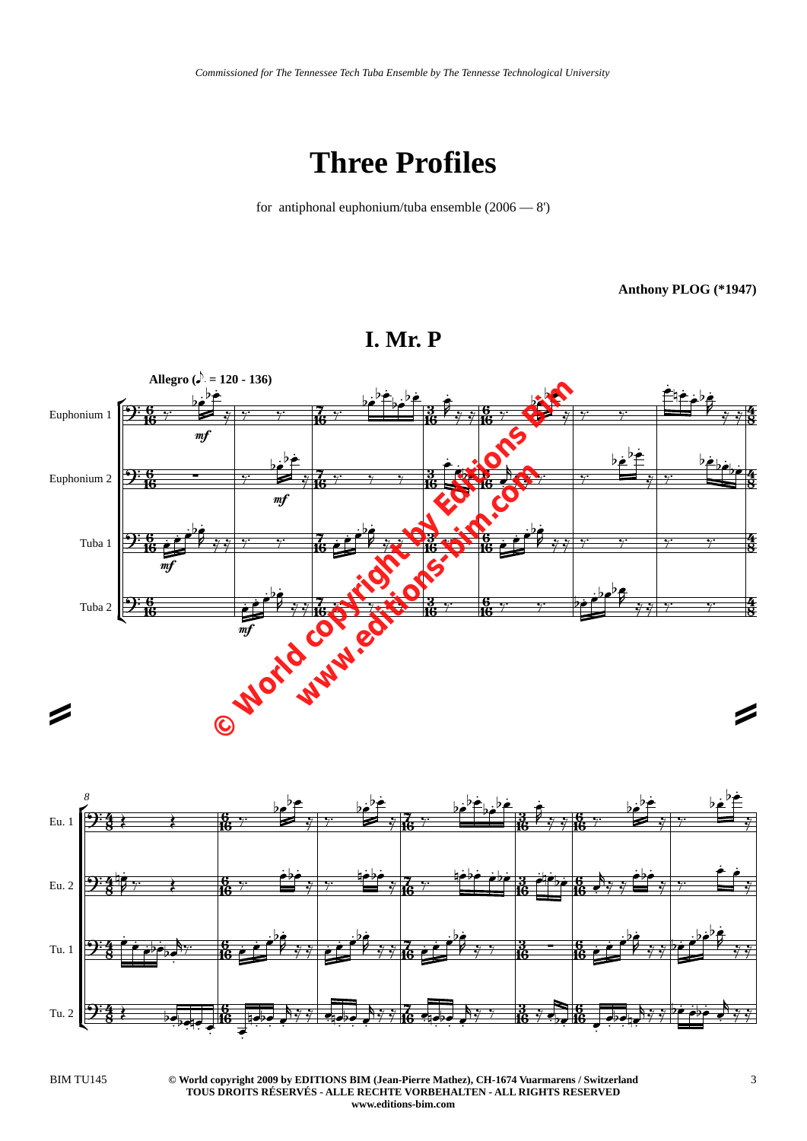*Commissioned for The Tennessee Tech Tuba Ensemble by The Tennesse Technological University*

## **Three Profiles**

for antiphonal euphonium/tuba ensemble (2006 — 8')

**Anthony PLOG (\*1947)**







**<sup>©</sup> World copyright 2009 by EDITIONS BIM (Jean-Pierre Mathez), CH-1674 Vuarmarens / Switzerland** BIM TU145 3 **TOUS DROITS RÉSERVÉS - ALLE RECHTE VORBEHALTEN - ALL RIGHTS RESERVED www.editions-bim.com**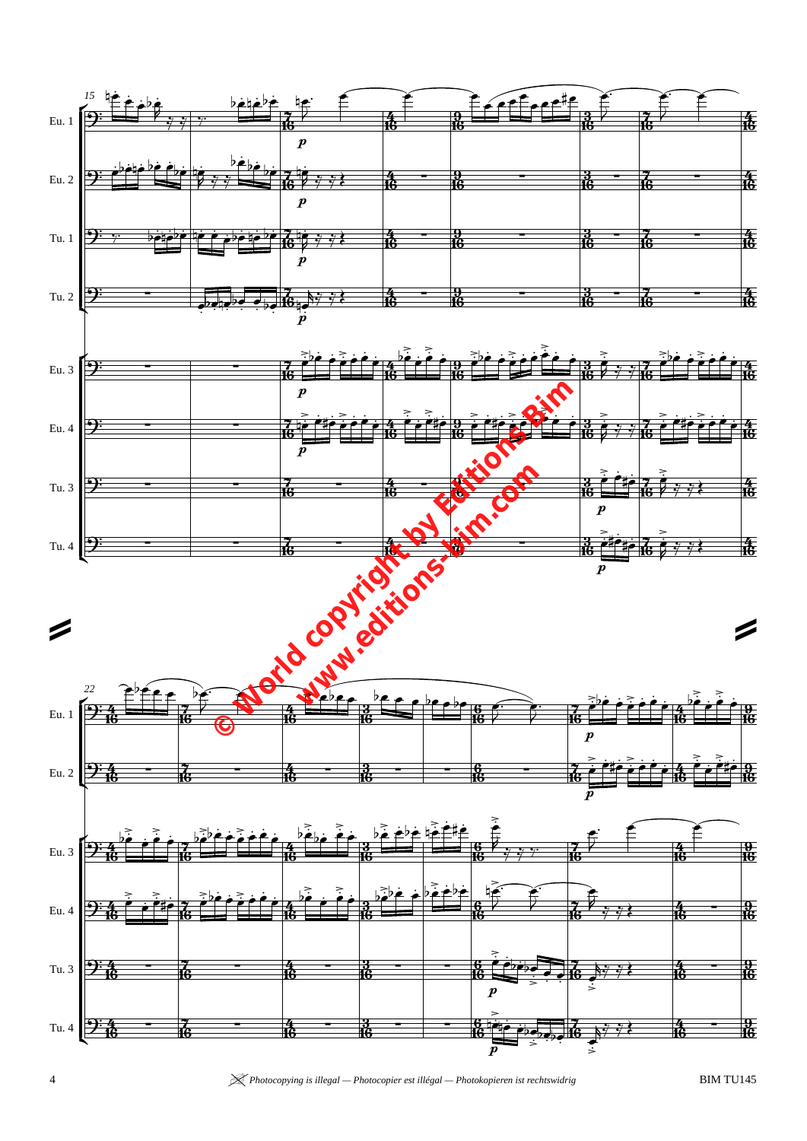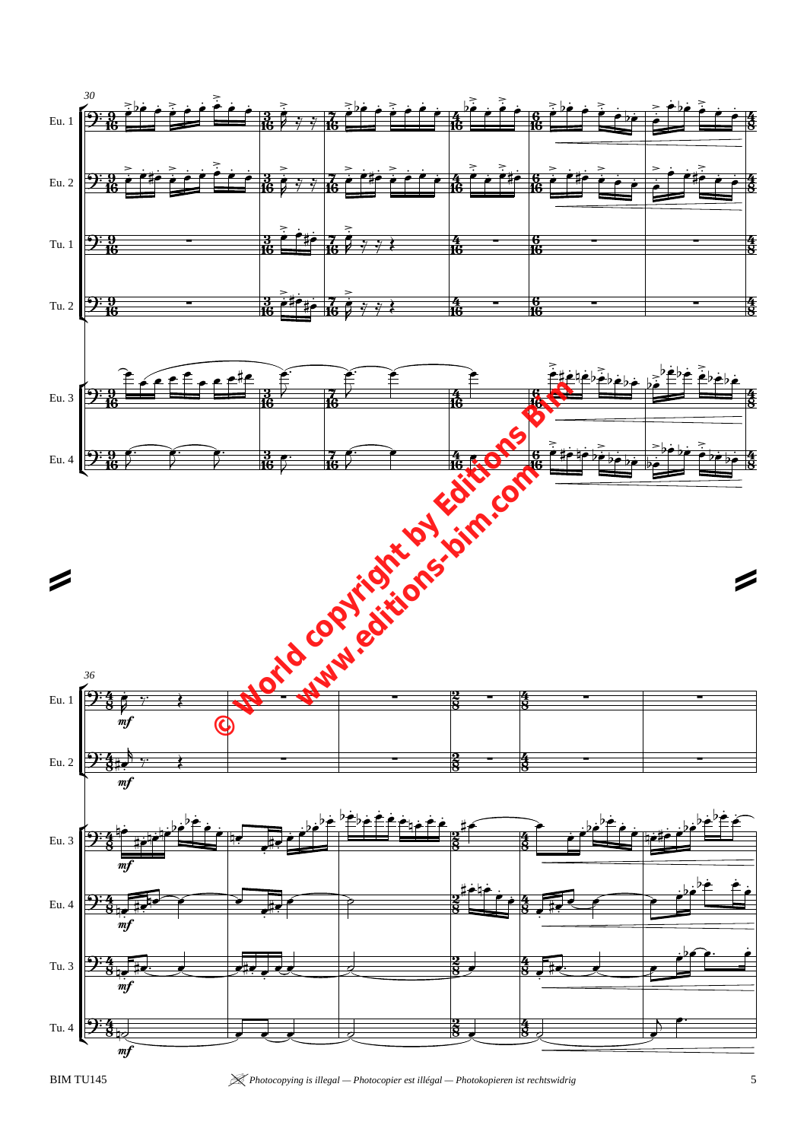

BIM TU145 | *Photocopying is illegal — Photocopier est illégal — Photokopieren ist rechtswidrig* 5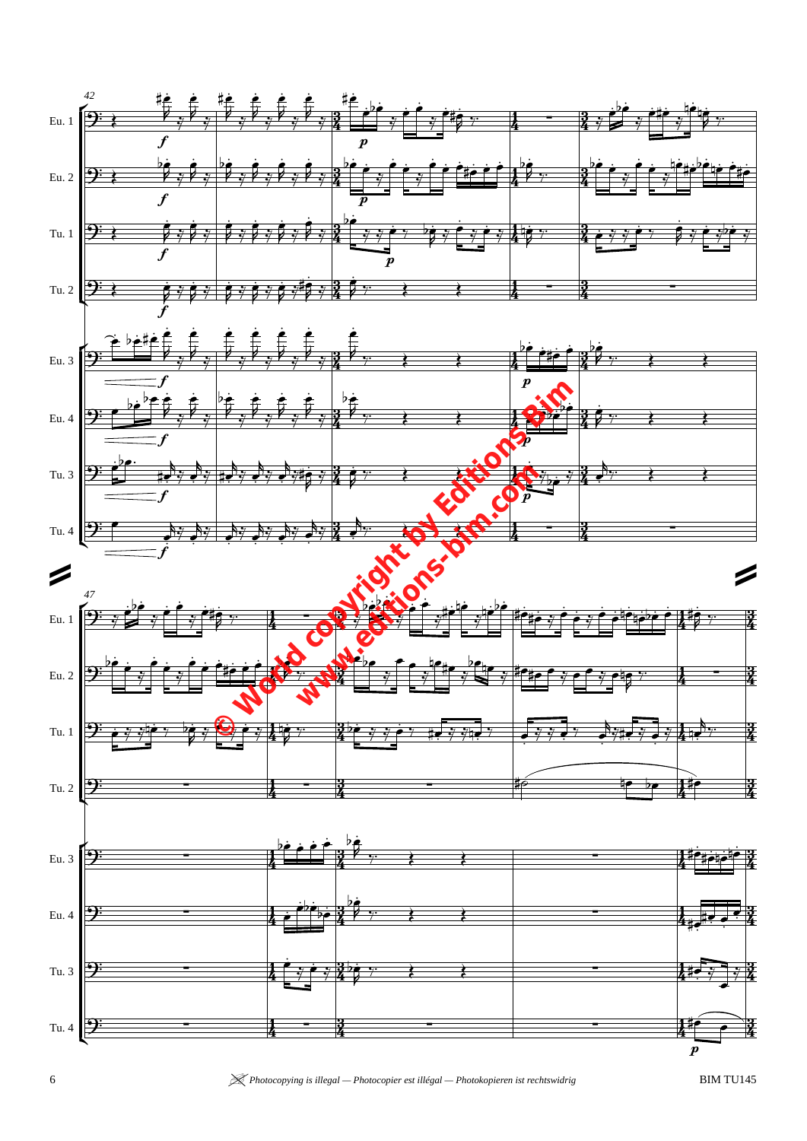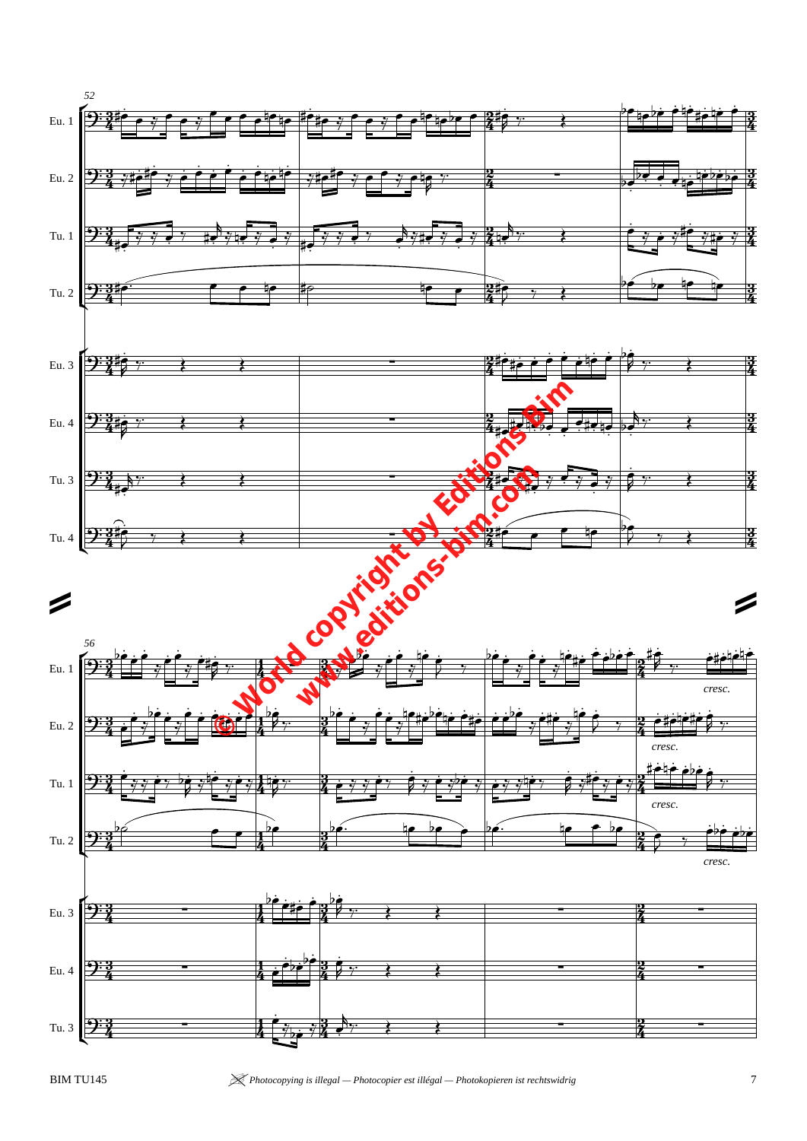

BIM TU145 | *Photocopying is illegal — Photocopier est illégal — Photokopieren ist rechtswidrig* 7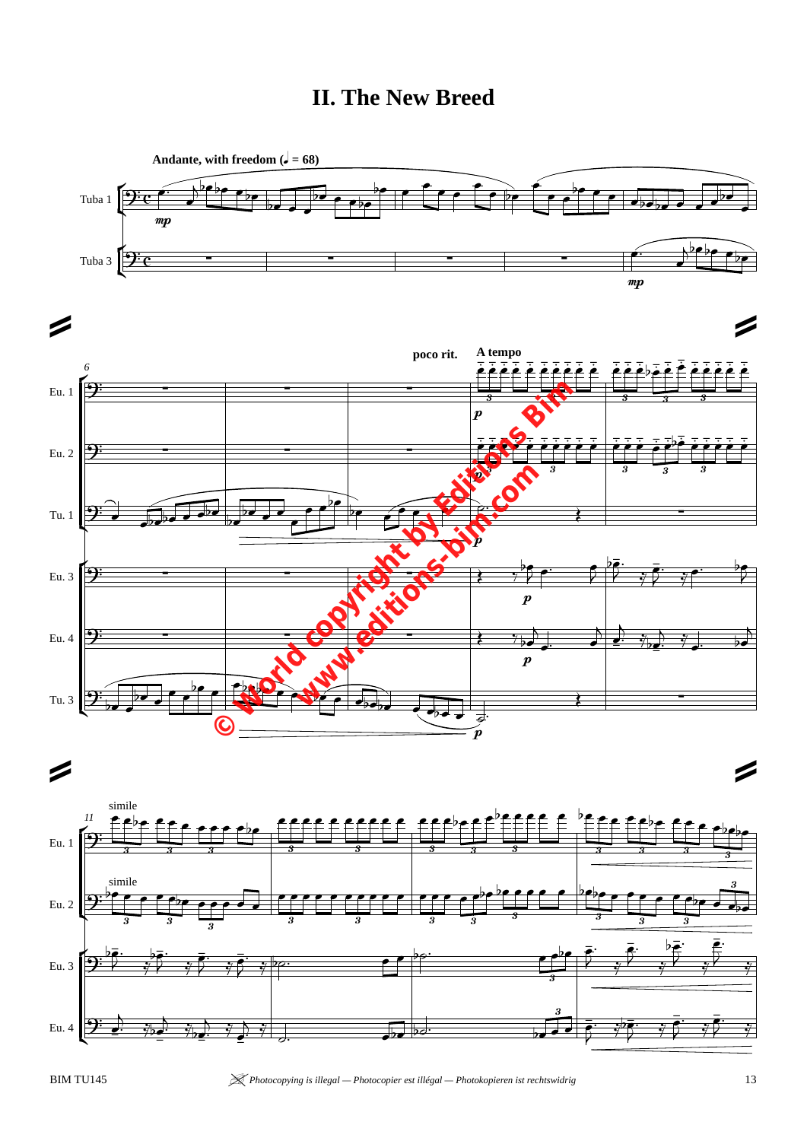## **II. The New Breed**

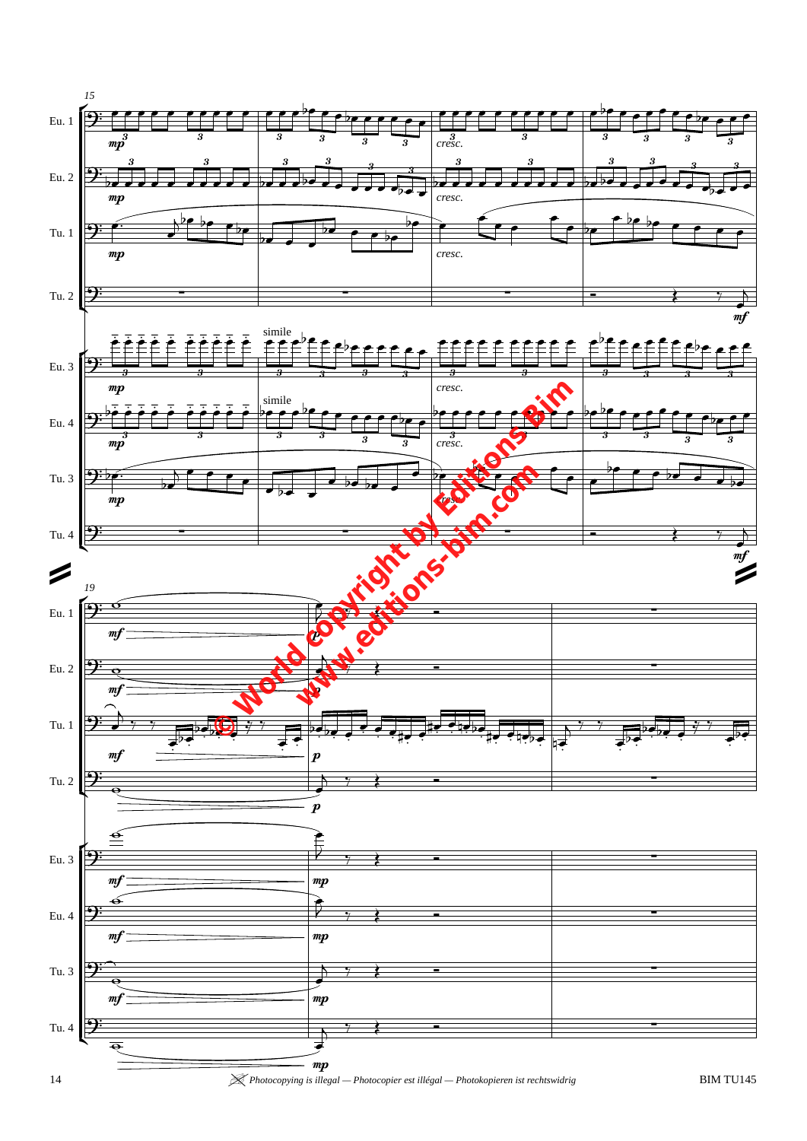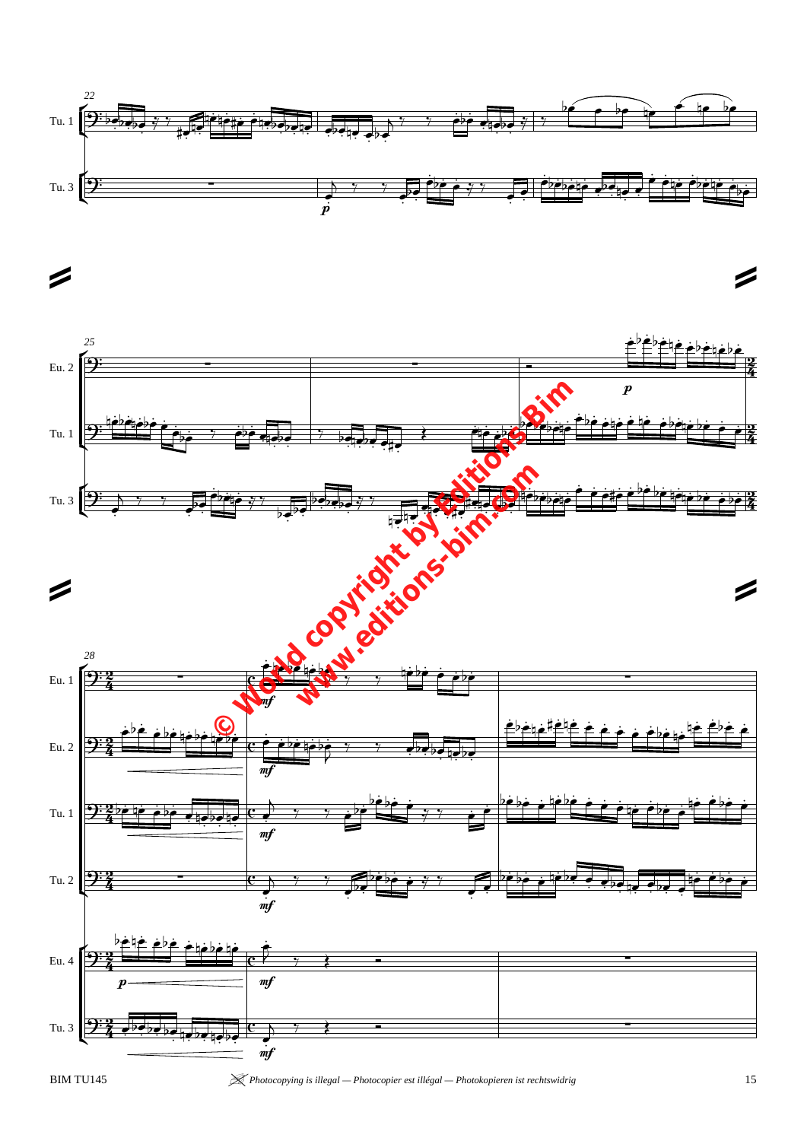



BIM TU145 | *Photocopying is illegal — Photocopier est illégal — Photokopieren ist rechtswidrig* 15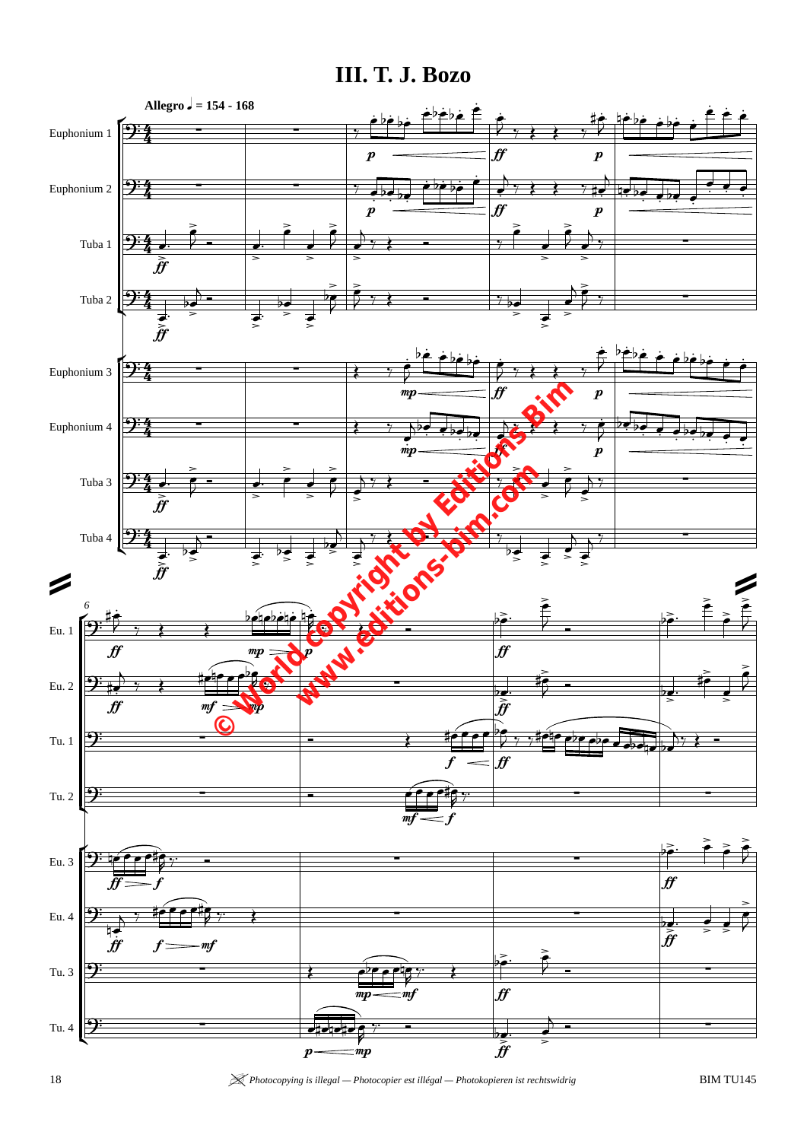## **III. T. J. Bozo**



<sup>18</sup> *M Photocopying is illegal — Photocopier est illégal — Photokopieren ist rechtswidrig* BIM TU145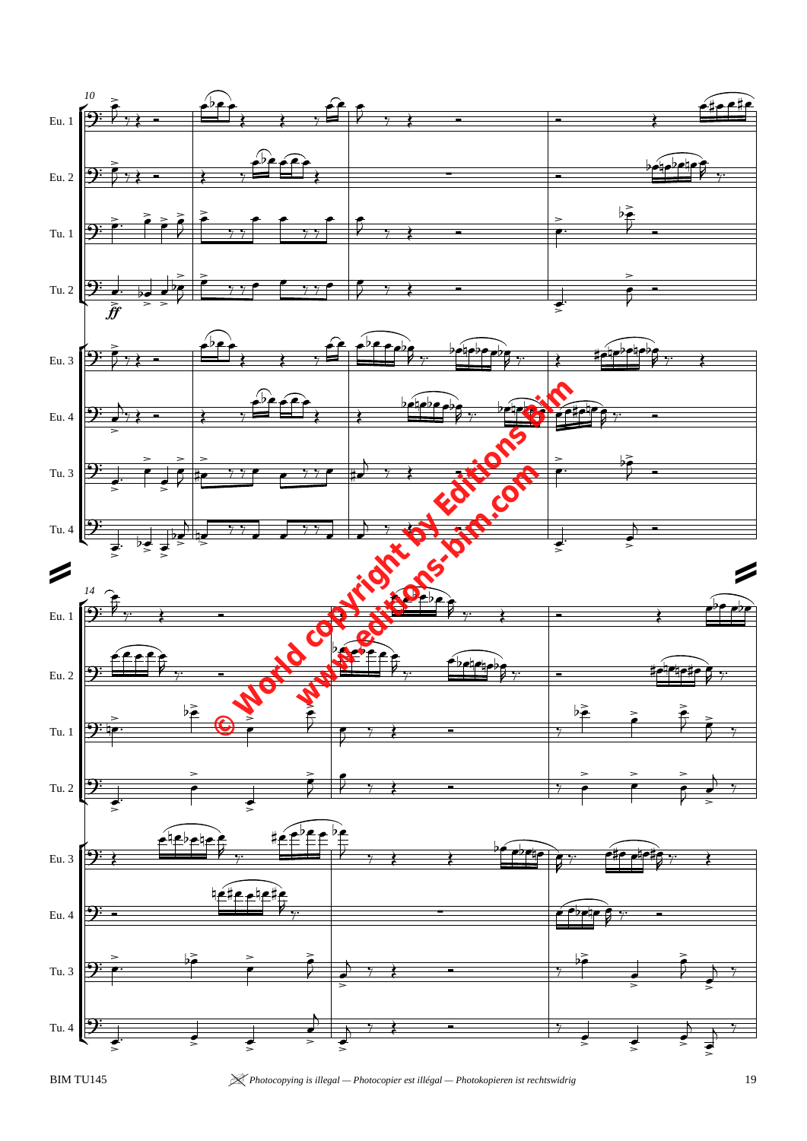

BIM TU145 | *Photocopying is illegal — Photocopier est illégal — Photokopieren ist rechtswidrig* 19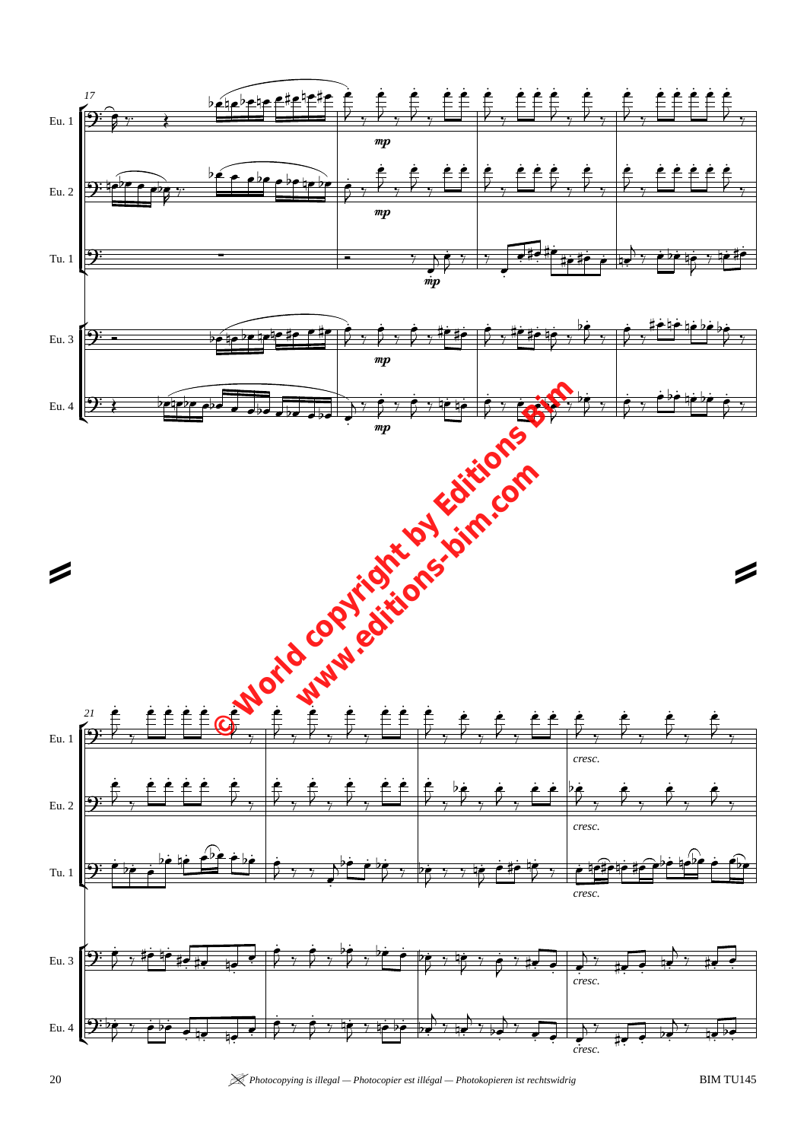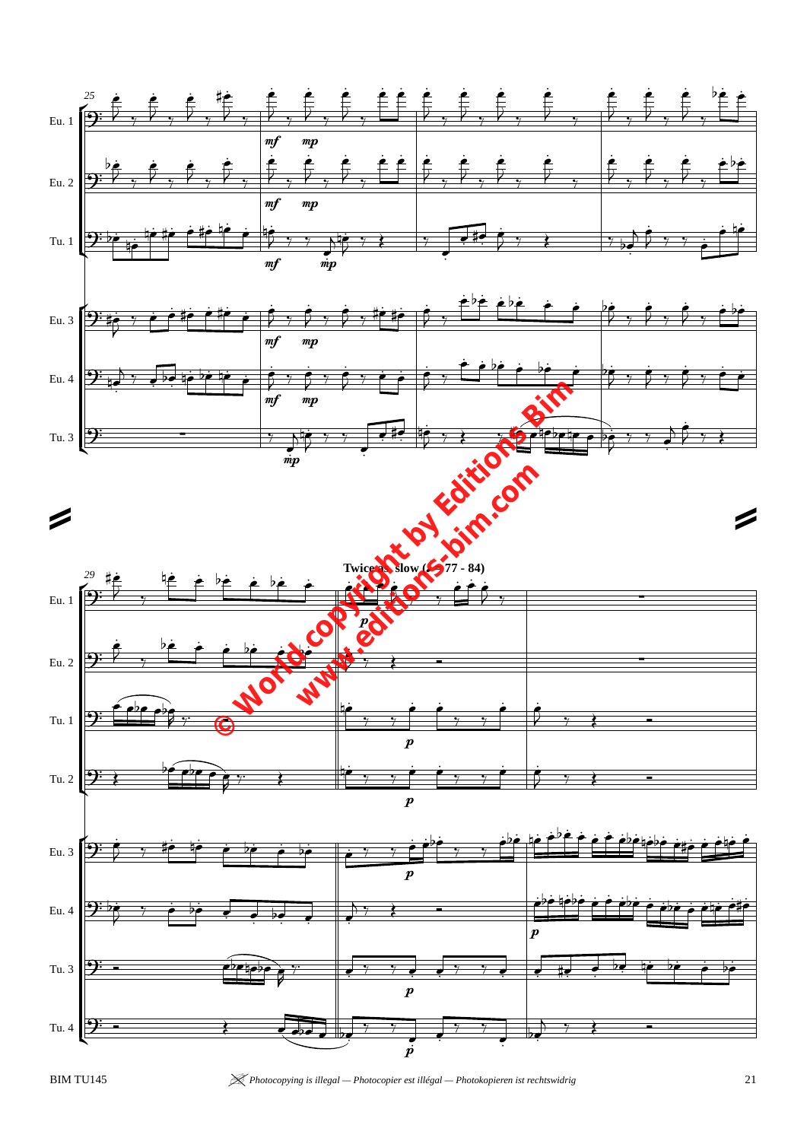

BIM TU145 | *Photocopying is illegal — Photocopier est illégal — Photokopieren ist rechtswidrig* 21